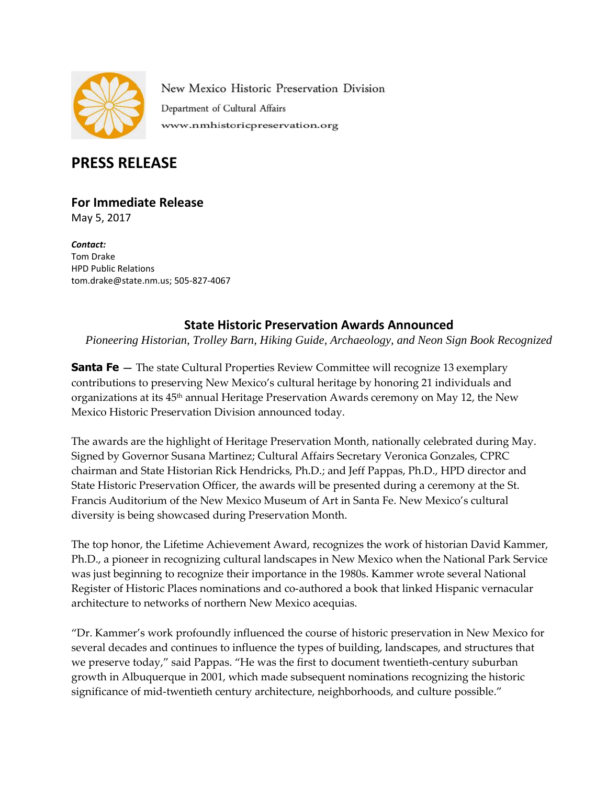

New Mexico Historic Preservation Division Department of Cultural Affairs www.nmhistoricpreservation.org

# **PRESS RELEASE**

# **For Immediate Release**

May 5, 2017

*Contact:* Tom Drake HPD Public Relations [tom.drake@state.nm.us;](mailto:tom.drake@state.nm.us) 505-827-4067

## **State Historic Preservation Awards Announced**

*Pioneering Historian, Trolley Barn, Hiking Guide, Archaeology, and Neon Sign Book Recognized*

**Santa Fe** — The state Cultural Properties Review Committee will recognize 13 exemplary contributions to preserving New Mexico's cultural heritage by honoring 21 individuals and organizations at its 45<sup>th</sup> annual Heritage Preservation Awards ceremony on May 12, the New Mexico Historic Preservation Division announced today.

The awards are the highlight of Heritage Preservation Month, nationally celebrated during May. Signed by Governor Susana Martinez; Cultural Affairs Secretary Veronica Gonzales, CPRC chairman and State Historian Rick Hendricks, Ph.D.; and Jeff Pappas, Ph.D., HPD director and State Historic Preservation Officer, the awards will be presented during a ceremony at the St. Francis Auditorium of the New Mexico Museum of Art in Santa Fe. New Mexico's cultural diversity is being showcased during Preservation Month.

The top honor, the Lifetime Achievement Award, recognizes the work of historian David Kammer, Ph.D., a pioneer in recognizing cultural landscapes in New Mexico when the National Park Service was just beginning to recognize their importance in the 1980s. Kammer wrote several National Register of Historic Places nominations and co-authored a book that linked Hispanic vernacular architecture to networks of northern New Mexico acequias.

"Dr. Kammer's work profoundly influenced the course of historic preservation in New Mexico for several decades and continues to influence the types of building, landscapes, and structures that we preserve today," said Pappas. "He was the first to document twentieth-century suburban growth in Albuquerque in 2001, which made subsequent nominations recognizing the historic significance of mid-twentieth century architecture, neighborhoods, and culture possible."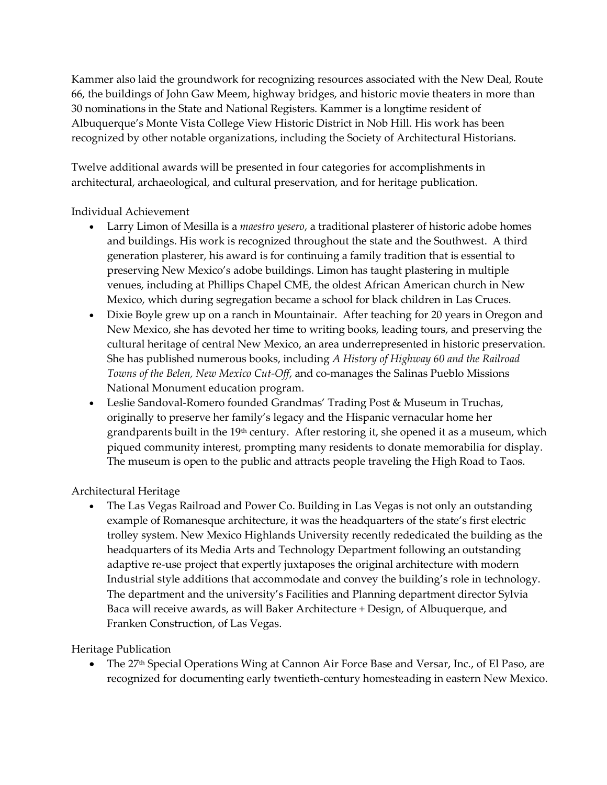Kammer also laid the groundwork for recognizing resources associated with the New Deal, Route 66, the buildings of John Gaw Meem, highway bridges, and historic movie theaters in more than 30 nominations in the State and National Registers. Kammer is a longtime resident of Albuquerque's Monte Vista College View Historic District in Nob Hill. His work has been recognized by other notable organizations, including the Society of Architectural Historians.

Twelve additional awards will be presented in four categories for accomplishments in architectural, archaeological, and cultural preservation, and for heritage publication.

Individual Achievement

- Larry Limon of Mesilla is a *maestro yesero*, a traditional plasterer of historic adobe homes and buildings. His work is recognized throughout the state and the Southwest. A third generation plasterer, his award is for continuing a family tradition that is essential to preserving New Mexico's adobe buildings. Limon has taught plastering in multiple venues, including at Phillips Chapel CME, the oldest African American church in New Mexico, which during segregation became a school for black children in Las Cruces.
- Dixie Boyle grew up on a ranch in Mountainair. After teaching for 20 years in Oregon and New Mexico, she has devoted her time to writing books, leading tours, and preserving the cultural heritage of central New Mexico, an area underrepresented in historic preservation. She has published numerous books, including *A History of Highway 60 and the Railroad Towns of the Belen, New Mexico Cut-Off*, and co-manages the Salinas Pueblo Missions National Monument education program.
- Leslie Sandoval-Romero founded Grandmas' Trading Post & Museum in Truchas, originally to preserve her family's legacy and the Hispanic vernacular home her grandparents built in the 19<sup>th</sup> century. After restoring it, she opened it as a museum, which piqued community interest, prompting many residents to donate memorabilia for display. The museum is open to the public and attracts people traveling the High Road to Taos.

Architectural Heritage

 The Las Vegas Railroad and Power Co. Building in Las Vegas is not only an outstanding example of Romanesque architecture, it was the headquarters of the state's first electric trolley system. New Mexico Highlands University recently rededicated the building as the headquarters of its Media Arts and Technology Department following an outstanding adaptive re-use project that expertly juxtaposes the original architecture with modern Industrial style additions that accommodate and convey the building's role in technology. The department and the university's Facilities and Planning department director Sylvia Baca will receive awards, as will Baker Architecture + Design, of Albuquerque, and Franken Construction, of Las Vegas.

Heritage Publication

The 27<sup>th</sup> Special Operations Wing at Cannon Air Force Base and Versar, Inc., of El Paso, are recognized for documenting early twentieth-century homesteading in eastern New Mexico.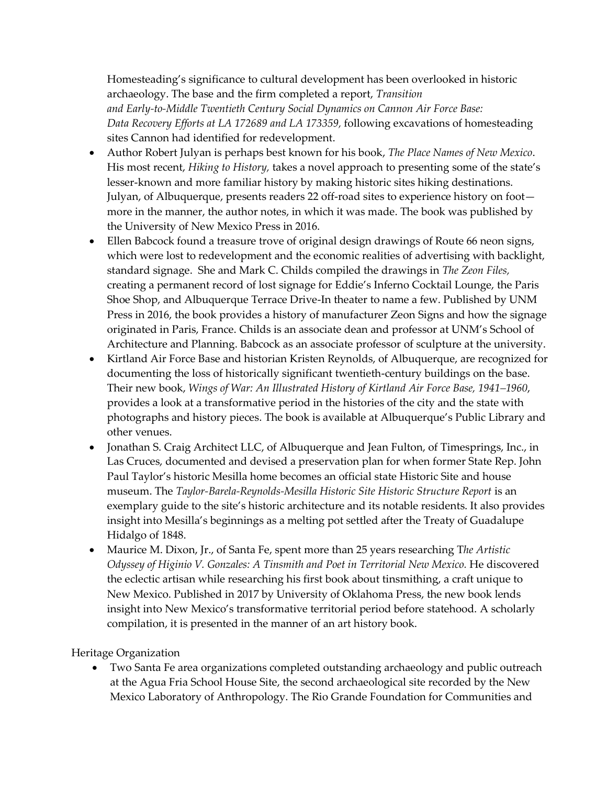Homesteading's significance to cultural development has been overlooked in historic archaeology. The base and the firm completed a report, *Transition and Early-to-Middle Twentieth Century Social Dynamics on Cannon Air Force Base: Data Recovery Efforts at LA 172689 and LA 173359,* following excavations of homesteading sites Cannon had identified for redevelopment.

- Author Robert Julyan is perhaps best known for his book, *The Place Names of New Mexico*. His most recent, *Hiking to History,* takes a novel approach to presenting some of the state's lesser-known and more familiar history by making historic sites hiking destinations. Julyan, of Albuquerque, presents readers 22 off-road sites to experience history on foot more in the manner, the author notes, in which it was made. The book was published by the University of New Mexico Press in 2016.
- Ellen Babcock found a treasure trove of original design drawings of Route 66 neon signs, which were lost to redevelopment and the economic realities of advertising with backlight, standard signage. She and Mark C. Childs compiled the drawings in *The Zeon Files,* creating a permanent record of lost signage for Eddie's Inferno Cocktail Lounge, the Paris Shoe Shop, and Albuquerque Terrace Drive-In theater to name a few. Published by UNM Press in 2016, the book provides a history of manufacturer Zeon Signs and how the signage originated in Paris, France. Childs is an associate dean and professor at UNM's School of Architecture and Planning. Babcock as an associate professor of sculpture at the university.
- Kirtland Air Force Base and historian Kristen Reynolds, of Albuquerque, are recognized for documenting the loss of historically significant twentieth-century buildings on the base. Their new book, *Wings of War: An Illustrated History of Kirtland Air Force Base, 1941–1960*, provides a look at a transformative period in the histories of the city and the state with photographs and history pieces. The book is available at Albuquerque's Public Library and other venues.
- Jonathan S. Craig Architect LLC, of Albuquerque and Jean Fulton, of Timesprings, Inc., in Las Cruces, documented and devised a preservation plan for when former State Rep. John Paul Taylor's historic Mesilla home becomes an official state Historic Site and house museum. The *Taylor-Barela-Reynolds-Mesilla Historic Site Historic Structure Report* is an exemplary guide to the site's historic architecture and its notable residents. It also provides insight into Mesilla's beginnings as a melting pot settled after the Treaty of Guadalupe Hidalgo of 1848.
- Maurice M. Dixon, Jr., of Santa Fe, spent more than 25 years researching T*he Artistic Odyssey of Higinio V. Gonzales: A Tinsmith and Poet in Territorial New Mexico.* He discovered the eclectic artisan while researching his first book about tinsmithing, a craft unique to New Mexico. Published in 2017 by University of Oklahoma Press, the new book lends insight into New Mexico's transformative territorial period before statehood. A scholarly compilation, it is presented in the manner of an art history book.

### Heritage Organization

 Two Santa Fe area organizations completed outstanding archaeology and public outreach at the Agua Fria School House Site, the second archaeological site recorded by the New Mexico Laboratory of Anthropology. The Rio Grande Foundation for Communities and